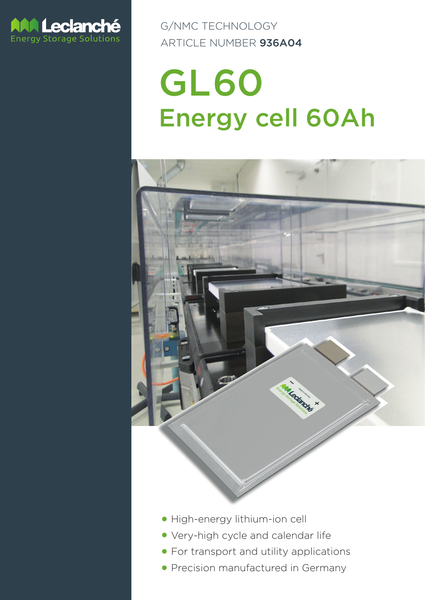

G/NMC TECHNOLOGY ARTICLE NUMBER 936A04

# GL60 Energy cell 60Ah



- High-energy lithium-ion cell
- **Very-high cycle and calendar life**
- **For transport and utility applications**
- Precision manufactured in Germany